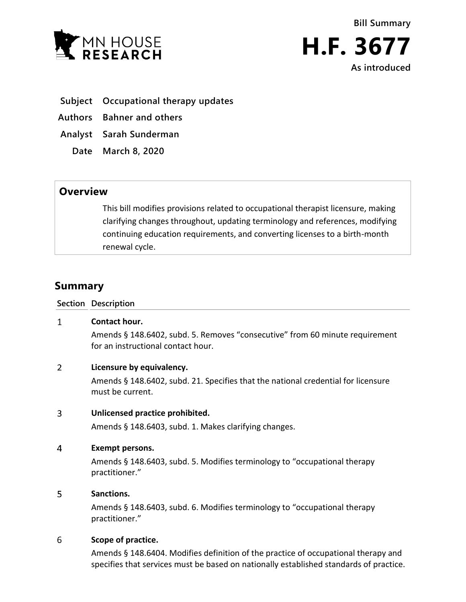



- **Subject Occupational therapy updates**
- **Authors Bahner and others**
- **Analyst Sarah Sunderman**
	- **Date March 8, 2020**

# **Overview**

This bill modifies provisions related to occupational therapist licensure, making clarifying changes throughout, updating terminology and references, modifying continuing education requirements, and converting licenses to a birth-month renewal cycle.

# **Summary**

**Section Description**

#### $\mathbf{1}$ **Contact hour.**

Amends § 148.6402, subd. 5. Removes "consecutive" from 60 minute requirement for an instructional contact hour.

# $\overline{2}$ **Licensure by equivalency.**

Amends § 148.6402, subd. 21. Specifies that the national credential for licensure must be current.

#### 3 **Unlicensed practice prohibited.**

Amends § 148.6403, subd. 1. Makes clarifying changes.

#### $\overline{4}$ **Exempt persons.**

Amends § 148.6403, subd. 5. Modifies terminology to "occupational therapy practitioner."

## 5 **Sanctions.**

Amends § 148.6403, subd. 6. Modifies terminology to "occupational therapy practitioner."

#### 6 **Scope of practice.**

Amends § 148.6404. Modifies definition of the practice of occupational therapy and specifies that services must be based on nationally established standards of practice.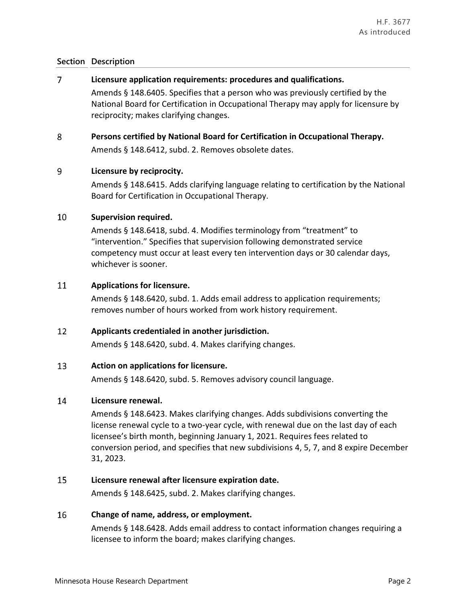# **Section Description**

#### $\overline{7}$ **Licensure application requirements: procedures and qualifications.**

Amends § 148.6405. Specifies that a person who was previously certified by the National Board for Certification in Occupational Therapy may apply for licensure by reciprocity; makes clarifying changes.

# 8 **Persons certified by National Board for Certification in Occupational Therapy.**

Amends § 148.6412, subd. 2. Removes obsolete dates.

#### 9 **Licensure by reciprocity.**

Amends § 148.6415. Adds clarifying language relating to certification by the National Board for Certification in Occupational Therapy.

#### 10 **Supervision required.**

Amends § 148.6418, subd. 4. Modifies terminology from "treatment" to "intervention." Specifies that supervision following demonstrated service competency must occur at least every ten intervention days or 30 calendar days, whichever is sooner.

## 11 **Applications for licensure.**

Amends § 148.6420, subd. 1. Adds email address to application requirements; removes number of hours worked from work history requirement.

# $12$ **Applicants credentialed in another jurisdiction.**

Amends § 148.6420, subd. 4. Makes clarifying changes.

#### 13 **Action on applications for licensure.**

Amends § 148.6420, subd. 5. Removes advisory council language.

#### 14 **Licensure renewal.**

Amends § 148.6423. Makes clarifying changes. Adds subdivisions converting the license renewal cycle to a two-year cycle, with renewal due on the last day of each licensee's birth month, beginning January 1, 2021. Requires fees related to conversion period, and specifies that new subdivisions 4, 5, 7, and 8 expire December 31, 2023.

#### 15 **Licensure renewal after licensure expiration date.**

Amends § 148.6425, subd. 2. Makes clarifying changes.

#### 16 **Change of name, address, or employment.**

Amends § 148.6428. Adds email address to contact information changes requiring a licensee to inform the board; makes clarifying changes.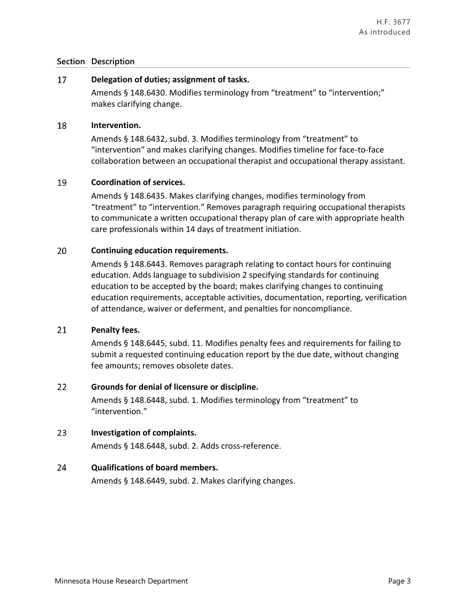# **Section Description**

#### 17 **Delegation of duties; assignment of tasks.**

Amends § 148.6430. Modifies terminology from "treatment" to "intervention;" makes clarifying change.

#### 18 **Intervention.**

Amends § 148.6432, subd. 3. Modifies terminology from "treatment" to "intervention" and makes clarifying changes. Modifies timeline for face-to-face collaboration between an occupational therapist and occupational therapy assistant.

## 19 **Coordination of services.**

Amends § 148.6435. Makes clarifying changes, modifies terminology from "treatment" to "intervention." Removes paragraph requiring occupational therapists to communicate a written occupational therapy plan of care with appropriate health care professionals within 14 days of treatment initiation.

## 20 **Continuing education requirements.**

Amends § 148.6443. Removes paragraph relating to contact hours for continuing education. Adds language to subdivision 2 specifying standards for continuing education to be accepted by the board; makes clarifying changes to continuing education requirements, acceptable activities, documentation, reporting, verification of attendance, waiver or deferment, and penalties for noncompliance.

#### 21 **Penalty fees.**

Amends § 148.6445, subd. 11. Modifies penalty fees and requirements for failing to submit a requested continuing education report by the due date, without changing fee amounts; removes obsolete dates.

# $22$ **Grounds for denial of licensure or discipline.**

Amends § 148.6448, subd. 1. Modifies terminology from "treatment" to "intervention."

# $23<sup>°</sup>$ **Investigation of complaints.**

Amends § 148.6448, subd. 2. Adds cross-reference.

#### 24 **Qualifications of board members.**

Amends § 148.6449, subd. 2. Makes clarifying changes.